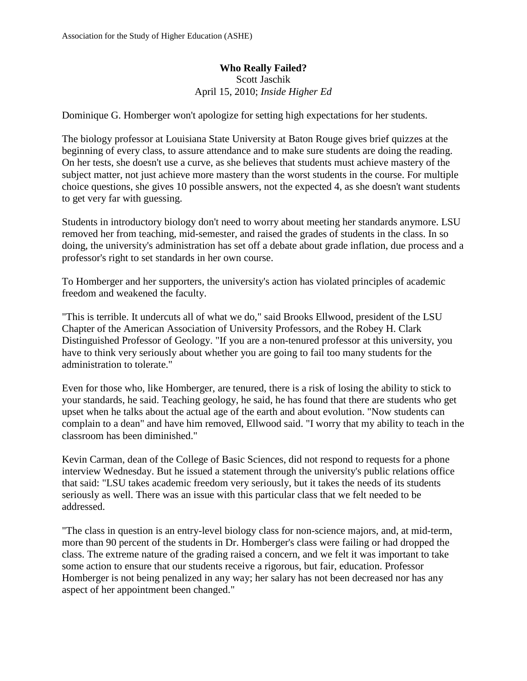#### **Who Really Failed?**  Scott Jaschik April 15, 2010; *Inside Higher Ed*

Dominique G. Homberger won't apologize for setting high expectations for her students.

 The biology professor at Louisiana State University at Baton Rouge gives brief quizzes at the beginning of every class, to assure attendance and to make sure students are doing the reading. On her tests, she doesn't use a curve, as she believes that students must achieve mastery of the subject matter, not just achieve more mastery than the worst students in the course. For multiple choice questions, she gives 10 possible answers, not the expected 4, as she doesn't want students to get very far with guessing.

 doing, the university's administration has set off a debate about grade inflation, due process and a Students in introductory biology don't need to worry about meeting her standards anymore. LSU removed her from teaching, mid-semester, and raised the grades of students in the class. In so professor's right to set standards in her own course.

To Homberger and her supporters, the university's action has violated principles of academic freedom and weakened the faculty.

 "This is terrible. It undercuts all of what we do," said Brooks Ellwood, president of the LSU Chapter of the American Association of University Professors, and the Robey H. Clark Distinguished Professor of Geology. "If you are a non-tenured professor at this university, you have to think very seriously about whether you are going to fail too many students for the administration to tolerate."

Even for those who, like Homberger, are tenured, there is a risk of losing the ability to stick to your standards, he said. Teaching geology, he said, he has found that there are students who get upset when he talks about the actual age of the earth and about evolution. "Now students can complain to a dean" and have him removed, Ellwood said. "I worry that my ability to teach in the classroom has been diminished."

Kevin Carman, dean of the College of Basic Sciences, did not respond to requests for a phone interview Wednesday. But he issued a statement through the university's public relations office that said: "LSU takes academic freedom very seriously, but it takes the needs of its students seriously as well. There was an issue with this particular class that we felt needed to be addressed.

 Homberger is not being penalized in any way; her salary has not been decreased nor has any "The class in question is an entry-level biology class for non-science majors, and, at mid-term, more than 90 percent of the students in Dr. Homberger's class were failing or had dropped the class. The extreme nature of the grading raised a concern, and we felt it was important to take some action to ensure that our students receive a rigorous, but fair, education. Professor aspect of her appointment been changed."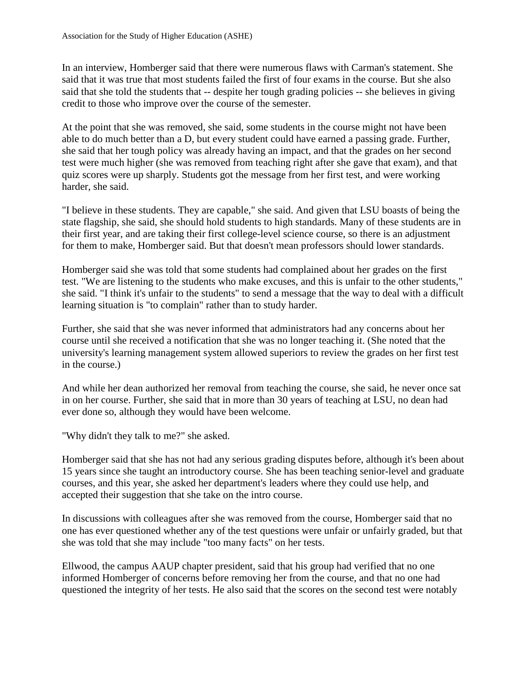In an interview, Homberger said that there were numerous flaws with Carman's statement. She said that it was true that most students failed the first of four exams in the course. But she also said that she told the students that -- despite her tough grading policies -- she believes in giving credit to those who improve over the course of the semester.

 quiz scores were up sharply. Students got the message from her first test, and were working At the point that she was removed, she said, some students in the course might not have been able to do much better than a D, but every student could have earned a passing grade. Further, she said that her tough policy was already having an impact, and that the grades on her second test were much higher (she was removed from teaching right after she gave that exam), and that harder, she said.

 "I believe in these students. They are capable," she said. And given that LSU boasts of being the state flagship, she said, she should hold students to high standards. Many of these students are in their first year, and are taking their first college-level science course, so there is an adjustment for them to make, Homberger said. But that doesn't mean professors should lower standards.

 Homberger said she was told that some students had complained about her grades on the first test. "We are listening to the students who make excuses, and this is unfair to the other students," she said. "I think it's unfair to the students" to send a message that the way to deal with a difficult learning situation is "to complain" rather than to study harder.

 university's learning management system allowed superiors to review the grades on her first test in the course.) Further, she said that she was never informed that administrators had any concerns about her course until she received a notification that she was no longer teaching it. (She noted that the

in the course.)<br>And while her dean authorized her removal from teaching the course, she said, he never once sat in on her course. Further, she said that in more than 30 years of teaching at LSU, no dean had ever done so, although they would have been welcome.

"Why didn't they talk to me?" she asked.

Homberger said that she has not had any serious grading disputes before, although it's been about 15 years since she taught an introductory course. She has been teaching senior-level and graduate courses, and this year, she asked her department's leaders where they could use help, and accepted their suggestion that she take on the intro course.

 she was told that she may include "too many facts" on her tests. In discussions with colleagues after she was removed from the course, Homberger said that no one has ever questioned whether any of the test questions were unfair or unfairly graded, but that

Ellwood, the campus AAUP chapter president, said that his group had verified that no one informed Homberger of concerns before removing her from the course, and that no one had questioned the integrity of her tests. He also said that the scores on the second test were notably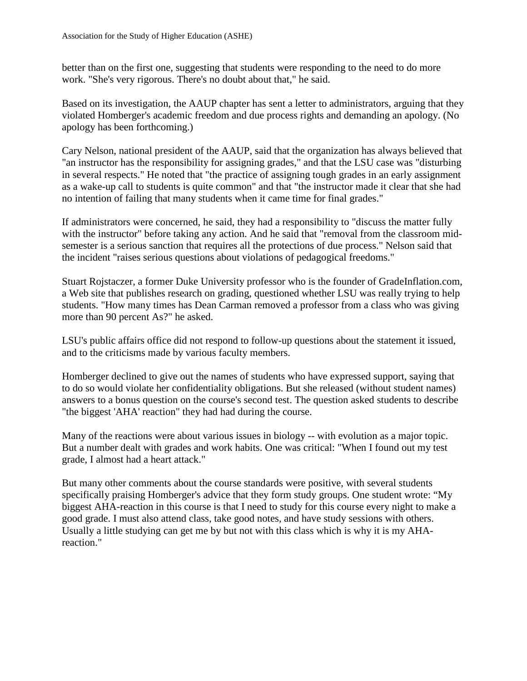better than on the first one, suggesting that students were responding to the need to do more work. "She's very rigorous. There's no doubt about that," he said.

Based on its investigation, the AAUP chapter has sent a letter to administrators, arguing that they violated Homberger's academic freedom and due process rights and demanding an apology. (No apology has been forthcoming.)

 "an instructor has the responsibility for assigning grades," and that the LSU case was "disturbing in several respects." He noted that "the practice of assigning tough grades in an early assignment as a wake-up call to students is quite common" and that "the instructor made it clear that she had Cary Nelson, national president of the AAUP, said that the organization has always believed that no intention of failing that many students when it came time for final grades."

If administrators were concerned, he said, they had a responsibility to "discuss the matter fully with the instructor" before taking any action. And he said that "removal from the classroom midsemester is a serious sanction that requires all the protections of due process." Nelson said that the incident "raises serious questions about violations of pedagogical freedoms."

 students. "How many times has Dean Carman removed a professor from a class who was giving Stuart Rojstaczer, a former Duke University professor who is the founder of GradeInflation.com, a Web site that publishes research on grading, questioned whether LSU was really trying to help more than 90 percent As?" he asked.

LSU's public affairs office did not respond to follow-up questions about the statement it issued, and to the criticisms made by various faculty members.

Homberger declined to give out the names of students who have expressed support, saying that to do so would violate her confidentiality obligations. But she released (without student names) answers to a bonus question on the course's second test. The question asked students to describe "the biggest 'AHA' reaction" they had had during the course.

 grade, I almost had a heart attack." Many of the reactions were about various issues in biology -- with evolution as a major topic. But a number dealt with grades and work habits. One was critical: "When I found out my test

 specifically praising Homberger's advice that they form study groups. One student wrote: "My Usually a little studying can get me by but not with this class which is why it is my AHA-But many other comments about the course standards were positive, with several students biggest AHA-reaction in this course is that I need to study for this course every night to make a good grade. I must also attend class, take good notes, and have study sessions with others. reaction."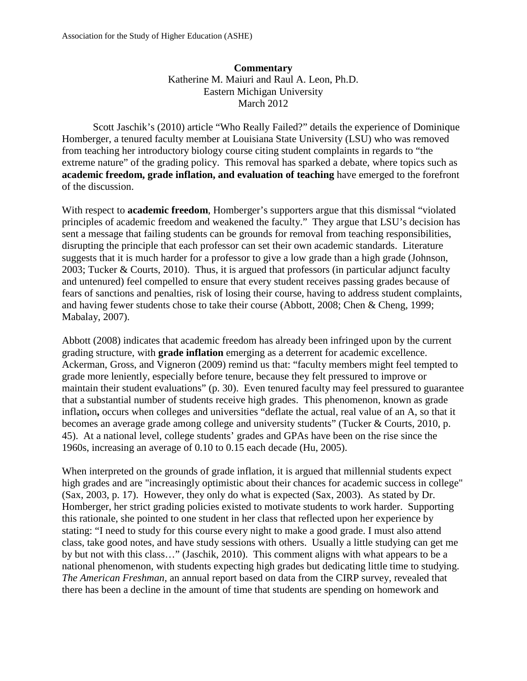### **Commentary**  Katherine M. Maiuri and Raul A. Leon, Ph.D. Eastern Michigan University March 2012

 Homberger, a tenured faculty member at Louisiana State University (LSU) who was removed Scott Jaschik's (2010) article "Who Really Failed?" details the experience of Dominique from teaching her introductory biology course citing student complaints in regards to "the extreme nature" of the grading policy. This removal has sparked a debate, where topics such as **academic freedom, grade inflation, and evaluation of teaching** have emerged to the forefront of the discussion.

 and untenured) feel compelled to ensure that every student receives passing grades because of With respect to **academic freedom**, Homberger's supporters argue that this dismissal "violated principles of academic freedom and weakened the faculty." They argue that LSU's decision has sent a message that failing students can be grounds for removal from teaching responsibilities, disrupting the principle that each professor can set their own academic standards. Literature suggests that it is much harder for a professor to give a low grade than a high grade (Johnson, 2003; Tucker & Courts, 2010). Thus, it is argued that professors (in particular adjunct faculty fears of sanctions and penalties, risk of losing their course, having to address student complaints, and having fewer students chose to take their course (Abbott, 2008; Chen & Cheng, 1999; Mabalay, 2007).

 Abbott (2008) indicates that academic freedom has already been infringed upon by the current grading structure, with **grade inflation** emerging as a deterrent for academic excellence. grading structure, with **grade inflation** emerging as a deterrent for academic excellence. Ackerman, Gross, and Vigneron (2009) remind us that: "faculty members might feel tempted to maintain their student evaluations" (p. 30). Even tenured faculty may feel pressured to guarantee that a substantial number of students receive high grades. This phenomenon, known as grade inflation**,** occurs when colleges and universities "deflate the actual, real value of an A, so that it 45). At a national level, college students' grades and GPAs have been on the rise since the grade more leniently, especially before tenure, because they felt pressured to improve or becomes an average grade among college and university students" (Tucker & Courts, 2010, p. 1960s, increasing an average of 0.10 to 0.15 each decade (Hu, 2005).

 When interpreted on the grounds of grade inflation, it is argued that millennial students expect high grades and are "increasingly optimistic about their chances for academic success in college" (Sax, 2003, p. 17). However, they only do what is expected (Sax, 2003). As stated by Dr. class, take good notes, and have study sessions with others. Usually a little studying can get me Homberger, her strict grading policies existed to motivate students to work harder. Supporting this rationale, she pointed to one student in her class that reflected upon her experience by stating: "I need to study for this course every night to make a good grade. I must also attend by but not with this class…" (Jaschik, 2010). This comment aligns with what appears to be a national phenomenon, with students expecting high grades but dedicating little time to studying. *The American Freshman,* an annual report based on data from the CIRP survey, revealed that there has been a decline in the amount of time that students are spending on homework and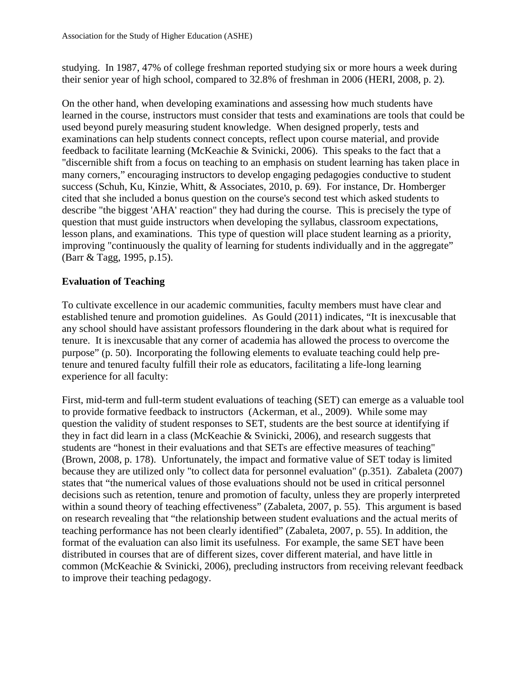studying. In 1987, 47% of college freshman reported studying six or more hours a week during their senior year of high school, compared to 32.8% of freshman in 2006 (HERI, 2008, p. 2)*.* 

 describe "the biggest 'AHA' reaction" they had during the course. This is precisely the type of On the other hand, when developing examinations and assessing how much students have learned in the course, instructors must consider that tests and examinations are tools that could be used beyond purely measuring student knowledge. When designed properly, tests and examinations can help students connect concepts, reflect upon course material, and provide feedback to facilitate learning (McKeachie & Svinicki, 2006). This speaks to the fact that a "discernible shift from a focus on teaching to an emphasis on student learning has taken place in many corners," encouraging instructors to develop engaging pedagogies conductive to student success (Schuh, Ku, Kinzie, Whitt, & Associates, 2010, p. 69). For instance, Dr. Homberger cited that she included a bonus question on the course's second test which asked students to question that must guide instructors when developing the syllabus, classroom expectations, lesson plans, and examinations. This type of question will place student learning as a priority, improving "continuously the quality of learning for students individually and in the aggregate" (Barr & Tagg, 1995, p.15).

# **Evaluation of Teaching**

 purpose" (p. 50). Incorporating the following elements to evaluate teaching could help pre-To cultivate excellence in our academic communities, faculty members must have clear and established tenure and promotion guidelines. As Gould (2011) indicates, "It is inexcusable that any school should have assistant professors floundering in the dark about what is required for tenure. It is inexcusable that any corner of academia has allowed the process to overcome the tenure and tenured faculty fulfill their role as educators, facilitating a life-long learning experience for all faculty:

 First, mid-term and full-term student evaluations of teaching (SET) can emerge as a valuable tool common (McKeachie & Svinicki, 2006), precluding instructors from receiving relevant feedback to provide formative feedback to instructors (Ackerman, et al., 2009). While some may question the validity of student responses to SET, students are the best source at identifying if they in fact did learn in a class (McKeachie & Svinicki, 2006), and research suggests that students are "honest in their evaluations and that SETs are effective measures of teaching" (Brown, 2008, p. 178). Unfortunately, the impact and formative value of SET today is limited because they are utilized only "to collect data for personnel evaluation" (p.351). Zabaleta (2007) states that "the numerical values of those evaluations should not be used in critical personnel decisions such as retention, tenure and promotion of faculty, unless they are properly interpreted within a sound theory of teaching effectiveness" (Zabaleta, 2007, p. 55). This argument is based on research revealing that "the relationship between student evaluations and the actual merits of teaching performance has not been clearly identified" (Zabaleta, 2007, p. 55). In addition, the format of the evaluation can also limit its usefulness. For example, the same SET have been distributed in courses that are of different sizes, cover different material, and have little in to improve their teaching pedagogy.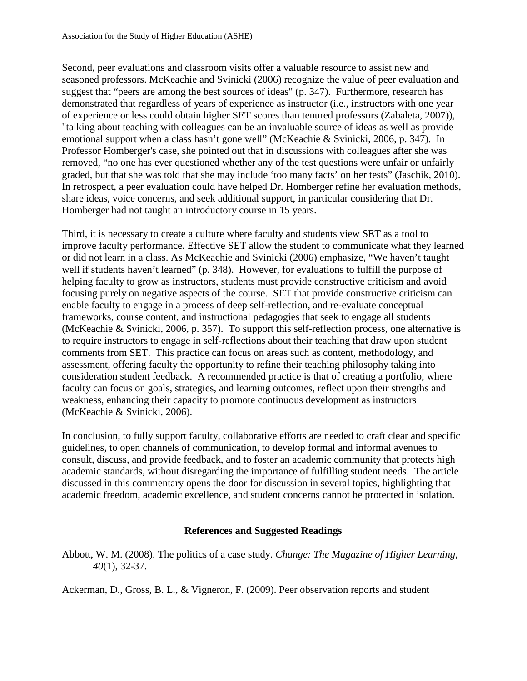Second, peer evaluations and classroom visits offer a valuable resource to assist new and suggest that "peers are among the best sources of ideas" (p. 347). Furthermore, research has demonstrated that regardless of years of experience as instructor (i.e., instructors with one year emotional support when a class hasn't gone well" (McKeachie & Svinicki, 2006, p. 347). In graded, but that she was told that she may include 'too many facts' on her tests" (Jaschik, 2010). seasoned professors. McKeachie and Svinicki (2006) recognize the value of peer evaluation and of experience or less could obtain higher SET scores than tenured professors (Zabaleta, 2007)), "talking about teaching with colleagues can be an invaluable source of ideas as well as provide Professor Homberger's case, she pointed out that in discussions with colleagues after she was removed, "no one has ever questioned whether any of the test questions were unfair or unfairly In retrospect, a peer evaluation could have helped Dr. Homberger refine her evaluation methods, share ideas, voice concerns, and seek additional support, in particular considering that Dr. Homberger had not taught an introductory course in 15 years.

 frameworks, course content, and instructional pedagogies that seek to engage all students (McKeachie & Svinicki, 2006, p. 357). To support this self-reflection process, one alternative is Third, it is necessary to create a culture where faculty and students view SET as a tool to improve faculty performance. Effective SET allow the student to communicate what they learned or did not learn in a class. As McKeachie and Svinicki (2006) emphasize, "We haven't taught well if students haven't learned" (p. 348). However, for evaluations to fulfill the purpose of helping faculty to grow as instructors, students must provide constructive criticism and avoid focusing purely on negative aspects of the course. SET that provide constructive criticism can enable faculty to engage in a process of deep self-reflection, and re-evaluate conceptual to require instructors to engage in self-reflections about their teaching that draw upon student comments from SET. This practice can focus on areas such as content, methodology, and assessment, offering faculty the opportunity to refine their teaching philosophy taking into consideration student feedback. A recommended practice is that of creating a portfolio, where faculty can focus on goals, strategies, and learning outcomes, reflect upon their strengths and weakness, enhancing their capacity to promote continuous development as instructors (McKeachie & Svinicki, 2006).

 discussed in this commentary opens the door for discussion in several topics, highlighting that In conclusion, to fully support faculty, collaborative efforts are needed to craft clear and specific guidelines, to open channels of communication, to develop formal and informal avenues to consult, discuss, and provide feedback, and to foster an academic community that protects high academic standards, without disregarding the importance of fulfilling student needs. The article academic freedom, academic excellence, and student concerns cannot be protected in isolation.

#### **References and Suggested Readings**

Abbott, W. M. (2008). The politics of a case study. *Change: The Magazine of Higher Learning, 40*(1), 32-37.

Ackerman, D., Gross, B. L., & Vigneron, F. (2009). Peer observation reports and student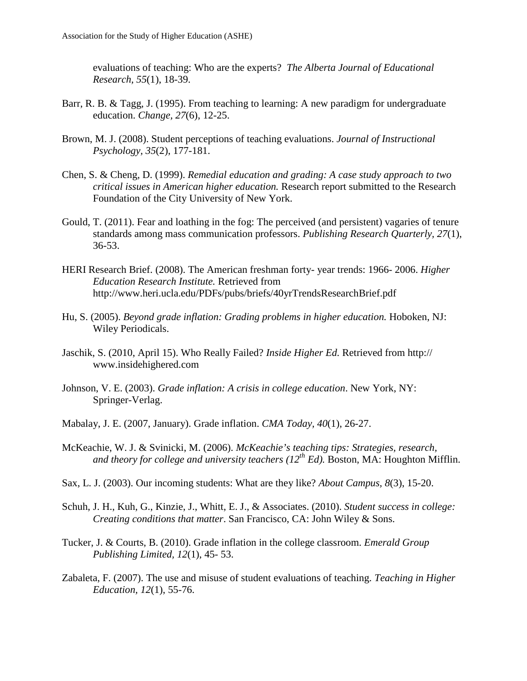evaluations of teaching: Who are the experts? *The Alberta Journal of Educational Research, 55*(1), 18-39.

- Barr, R. B. & Tagg, J. (1995). From teaching to learning: A new paradigm for undergraduate education. *Change, 27*(6), 12-25.
- Brown, M. J. (2008). Student perceptions of teaching evaluations. *Journal of Instructional Psychology, 35*(2), 177-181.
- Chen, S. & Cheng, D. (1999). *Remedial education and grading: A case study approach to two critical issues in American higher education.* Research report submitted to the Research Foundation of the City University of New York.
- Gould, T. (2011). Fear and loathing in the fog: The perceived (and persistent) vagaries of tenure standards among mass communication professors. *Publishing Research Quarterly, 27*(1), 36-53.
- HERI Research Brief. (2008). The American freshman forty- year trends: 1966- 2006. *Higher Education Research Institute.* Retrieved from http://www.heri.ucla.edu/PDFs/pubs/briefs/40yrTrendsResearchBrief.pdf
- Hu, S. (2005). *Beyond grade inflation: Grading problems in higher education.* Hoboken, NJ: Wiley Periodicals.
- Jaschik, S. (2010, April 15). Who Really Failed? *Inside Higher Ed.* Retrieved from http:// www.insidehighered.com
- Johnson, V. E. (2003). *Grade inflation: A crisis in college education*. New York, NY: Springer-Verlag.
- Mabalay, J. E. (2007, January). Grade inflation. *CMA Today, 40*(1), 26-27.
- and theory for college and university teachers (12<sup>th</sup> Ed). Boston, MA: Houghton Mifflin. McKeachie, W. J. & Svinicki, M. (2006). *McKeachie's teaching tips: Strategies, research,*
- Sax, L. J. (2003). Our incoming students: What are they like? *About Campus, 8*(3), 15-20.
- Schuh, J. H., Kuh, G., Kinzie, J., Whitt, E. J., & Associates. (2010). *Student success in college: Creating conditions that matter*. San Francisco, CA: John Wiley & Sons. *Creating conditions that matter.* San Francisco, CA: John Wiley & Sons.
- Tucker, J. & Courts, B. (2010). Grade inflation in the college classroom. *Emerald Group Publishing Limited, 12*(1), 45- 53.
- Zabaleta, F. (2007). The use and misuse of student evaluations of teaching. *Teaching in Higher Education, 12*(1), 55-76.